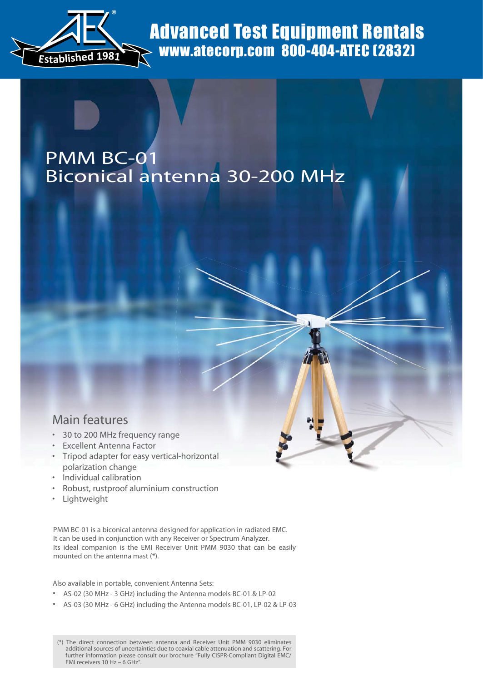

# Advanced Test Equipment Rentals www.atecorp.com 800-404-ATEC (2832)

## PMM BC-01 Biconical antenna 30-200 MHz

### Main features

- \* 30 to 200 MHz frequency range
- Excellent Antenna Factor
- Tripod adapter for easy vertical-horizontal polarization change
- Individual calibration
- Robust, rustproof aluminium construction
- Lightweight

PMM BC-01 is a biconical antenna designed for application in radiated EMC. It can be used in conjunction with any Receiver or Spectrum Analyzer. Its ideal companion is the EMI Receiver Unit PMM 9030 that can be easily mounted on the antenna mast (\*).

Also available in portable, convenient Antenna Sets:

- AS-02 (30 MHz 3 GHz) including the Antenna models BC-01 & LP-02
- AS-03 (30 MHz 6 GHz) including the Antenna models BC-01, LP-02 & LP-03

<sup>(\*)</sup> The direct connection between antenna and Receiver Unit PMM 9030 eliminates additional sources of uncertainties due to coaxial cable attenuation and scattering. For further information please consult our brochure "Fully CISPR-Compliant Digital EMC/ EMI receivers 10 Hz  $-$  6 GHz".